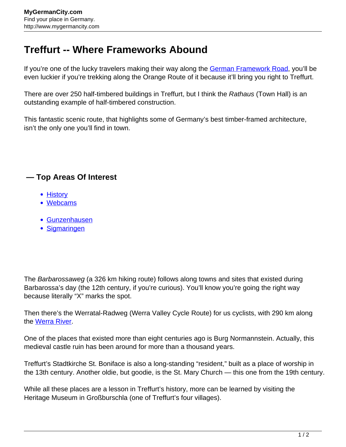## **Treffurt -- Where Frameworks Abound**

If you're one of the lucky travelers making their way along the [German Framework Road](http://www.mygermancity.com/german-framework-road), you'll be even luckier if you're trekking along the Orange Route of it because it'll bring you right to Treffurt.

There are over 250 half-timbered buildings in Treffurt, but I think the Rathaus (Town Hall) is an outstanding example of half-timbered construction.

This fantastic scenic route, that highlights some of Germany's best timber-framed architecture, isn't the only one you'll find in town.

## **— Top Areas Of Interest**

- [History](http://www.mygermancity.com/leipzig-history)
- [Webcams](http://www.mygermancity.com/neustadt-holstein-webcams)
- [Gunzenhausen](http://www.mygermancity.com/gunzenhausen)
- [Sigmaringen](http://www.mygermancity.com/sigmaringen)

The Barbarossaweg (a 326 km hiking route) follows along towns and sites that existed during Barbarossa's day (the 12th century, if you're curious). You'll know you're going the right way because literally "X" marks the spot.

Then there's the Werratal-Radweg (Werra Valley Cycle Route) for us cyclists, with 290 km along the [Werra River.](http://www.mygermancity.com/werra)

One of the places that existed more than eight centuries ago is Burg Normannstein. Actually, this medieval castle ruin has been around for more than a thousand years.

Treffurt's Stadtkirche St. Boniface is also a long-standing "resident," built as a place of worship in the 13th century. Another oldie, but goodie, is the St. Mary Church — this one from the 19th century.

While all these places are a lesson in Treffurt's history, more can be learned by visiting the Heritage Museum in Großburschla (one of Treffurt's four villages).